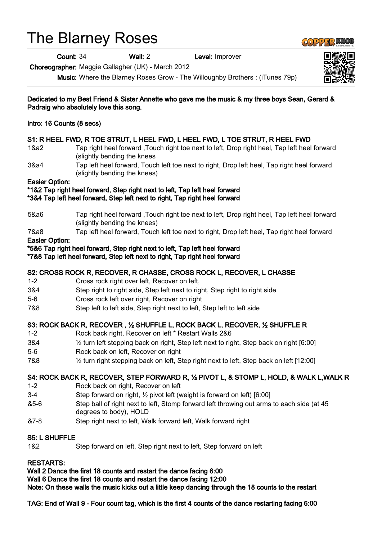# The Blarney Roses

Count: 34 Wall: 2 Level: Improver

Choreographer: Maggie Gallagher (UK) - March 2012

Music: Where the Blarney Roses Grow - The Willoughby Brothers : (iTunes 79p)

Dedicated to my Best Friend & Sister Annette who gave me the music & my three boys Sean, Gerard & Padraig who absolutely love this song.

Intro: 16 Counts (8 secs)

# S1: R HEEL FWD, R TOE STRUT, L HEEL FWD, L HEEL FWD, L TOE STRUT, R HEEL FWD

- 1&a2 Tap right heel forward ,Touch right toe next to left, Drop right heel, Tap left heel forward (slightly bending the knees
- 3&a4 Tap left heel forward, Touch left toe next to right, Drop left heel, Tap right heel forward (slightly bending the knees)

#### Easier Option:

### \*1&2 Tap right heel forward, Step right next to left, Tap left heel forward

\*3&4 Tap left heel forward, Step left next to right, Tap right heel forward

- 5&a6 Tap right heel forward ,Touch right toe next to left, Drop right heel, Tap left heel forward (slightly bending the knees)
- 7&a8 Tap left heel forward, Touch left toe next to right, Drop left heel, Tap right heel forward

#### Easier Option:

\*5&6 Tap right heel forward, Step right next to left, Tap left heel forward

\*7&8 Tap left heel forward, Step left next to right, Tap right heel forward

#### S2: CROSS ROCK R, RECOVER, R CHASSE, CROSS ROCK L, RECOVER, L CHASSE

- 1-2 Cross rock right over left, Recover on left,
- 3&4 Step right to right side, Step left next to right, Step right to right side
- 5-6 Cross rock left over right, Recover on right
- 7&8 Step left to left side, Step right next to left, Step left to left side

# S3: ROCK BACK R, RECOVER , ½ SHUFFLE L, ROCK BACK L, RECOVER, ½ SHUFFLE R

- 1-2 Rock back right, Recover on left \* Restart Walls 2&6
- 3&4 ½ turn left stepping back on right, Step left next to right, Step back on right [6:00]
- 5-6 Rock back on left, Recover on right
- 7&8 ½ turn right stepping back on left, Step right next to left, Step back on left [12:00]

#### S4: ROCK BACK R, RECOVER, STEP FORWARD R, ½ PIVOT L, & STOMP L, HOLD, & WALK L,WALK R

- 1-2 Rock back on right, Recover on left
- 3-4 Step forward on right, ½ pivot left (weight is forward on left) [6:00]
- &5-6 Step ball of right next to left, Stomp forward left throwing out arms to each side (at 45 degrees to body), HOLD
- &7-8 Step right next to left, Walk forward left, Walk forward right

#### S5: L SHUFFLE

1&2 Step forward on left, Step right next to left, Step forward on left

#### RESTARTS:

Wall 2 Dance the first 18 counts and restart the dance facing 6:00

Wall 6 Dance the first 18 counts and restart the dance facing 12:00

Note: On these walls the music kicks out a little keep dancing through the 18 counts to the restart

TAG: End of Wall 9 - Four count tag, which is the first 4 counts of the dance restarting facing 6:00